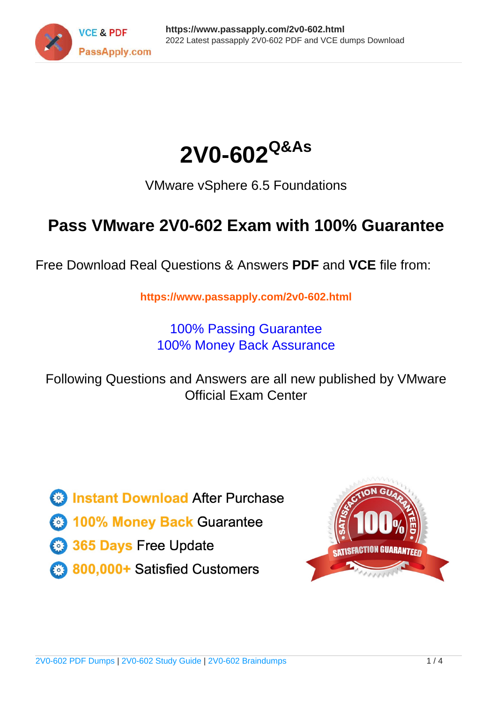



VMware vSphere 6.5 Foundations

# **Pass VMware 2V0-602 Exam with 100% Guarantee**

Free Download Real Questions & Answers **PDF** and **VCE** file from:

**https://www.passapply.com/2v0-602.html**

100% Passing Guarantee 100% Money Back Assurance

Following Questions and Answers are all new published by VMware Official Exam Center

**C** Instant Download After Purchase

**83 100% Money Back Guarantee** 

- 365 Days Free Update
- 800,000+ Satisfied Customers

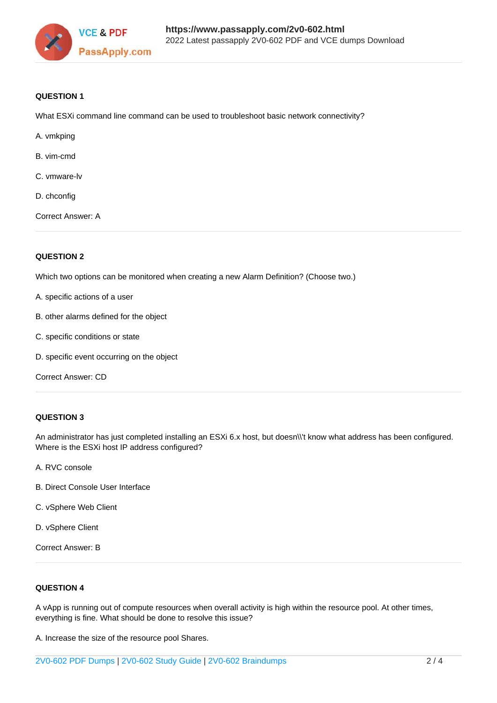

### **QUESTION 1**

What ESXi command line command can be used to troubleshoot basic network connectivity?

- A. vmkping
- B. vim-cmd
- C. vmware-lv
- D. chconfig

Correct Answer: A

### **QUESTION 2**

Which two options can be monitored when creating a new Alarm Definition? (Choose two.)

- A. specific actions of a user
- B. other alarms defined for the object
- C. specific conditions or state
- D. specific event occurring on the object

Correct Answer: CD

### **QUESTION 3**

An administrator has just completed installing an ESXi 6.x host, but doesn\\'t know what address has been configured. Where is the ESXi host IP address configured?

- A. RVC console
- B. Direct Console User Interface
- C. vSphere Web Client
- D. vSphere Client

Correct Answer: B

### **QUESTION 4**

A vApp is running out of compute resources when overall activity is high within the resource pool. At other times, everything is fine. What should be done to resolve this issue?

A. Increase the size of the resource pool Shares.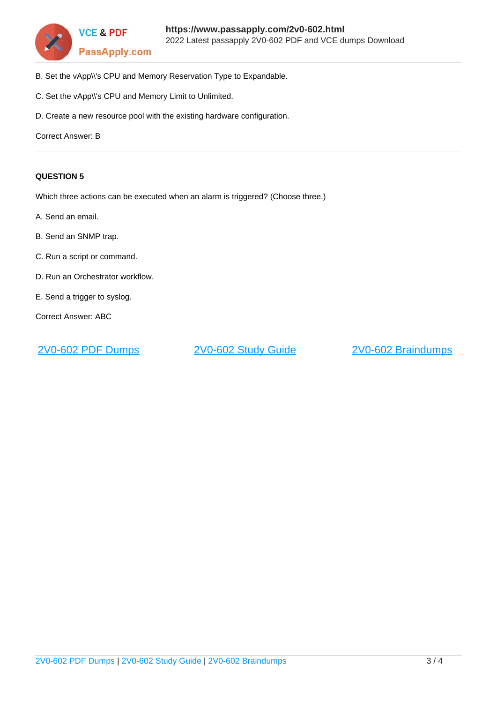

- B. Set the vApp\\'s CPU and Memory Reservation Type to Expandable.
- C. Set the vApp\\'s CPU and Memory Limit to Unlimited.
- D. Create a new resource pool with the existing hardware configuration.

Correct Answer: B

### **QUESTION 5**

Which three actions can be executed when an alarm is triggered? (Choose three.)

- A. Send an email.
- B. Send an SNMP trap.
- C. Run a script or command.
- D. Run an Orchestrator workflow.
- E. Send a trigger to syslog.

Correct Answer: ABC

[2V0-602 PDF Dumps](https://www.passapply.com/2v0-602.html) [2V0-602 Study Guide](https://www.passapply.com/2v0-602.html) [2V0-602 Braindumps](https://www.passapply.com/2v0-602.html)